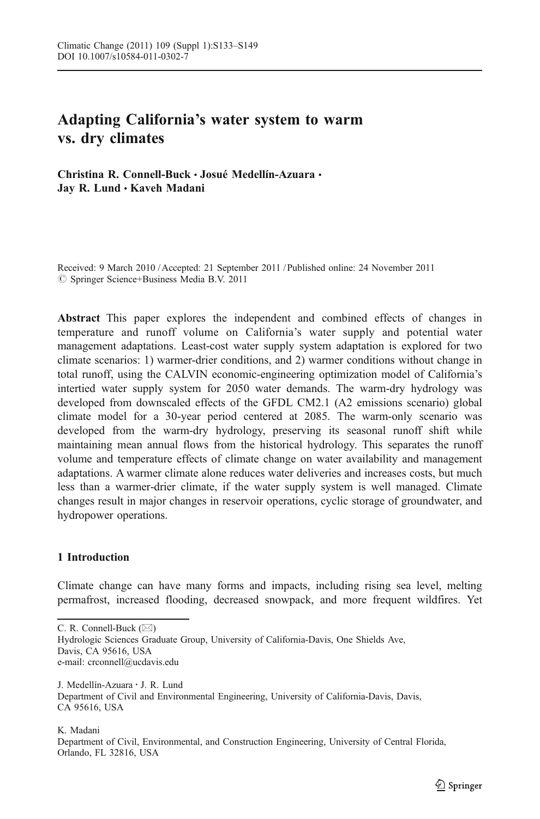# Adapting California's water system to warm vs. dry climates

Christina R. Connell-Buck • Josué Medellín-Azuara • Jay R. Lund · Kaveh Madani

Received: 9 March 2010 / Accepted: 21 September 2011 / Published online: 24 November 2011  $\circ$  Springer Science+Business Media B.V. 2011

Abstract This paper explores the independent and combined effects of changes in temperature and runoff volume on California's water supply and potential water management adaptations. Least-cost water supply system adaptation is explored for two climate scenarios: 1) warmer-drier conditions, and 2) warmer conditions without change in total runoff, using the CALVIN economic-engineering optimization model of California's intertied water supply system for 2050 water demands. The warm-dry hydrology was developed from downscaled effects of the GFDL CM2.1 (A2 emissions scenario) global climate model for a 30-year period centered at 2085. The warm-only scenario was developed from the warm-dry hydrology, preserving its seasonal runoff shift while maintaining mean annual flows from the historical hydrology. This separates the runoff volume and temperature effects of climate change on water availability and management adaptations. A warmer climate alone reduces water deliveries and increases costs, but much less than a warmer-drier climate, if the water supply system is well managed. Climate changes result in major changes in reservoir operations, cyclic storage of groundwater, and hydropower operations.

# 1 Introduction

Climate change can have many forms and impacts, including rising sea level, melting permafrost, increased flooding, decreased snowpack, and more frequent wildfires. Yet

C. R. Connell-Buck  $(\boxtimes)$ 

Hydrologic Sciences Graduate Group, University of California-Davis, One Shields Ave, Davis, CA 95616, USA e-mail: crconnell@ucdavis.edu

J. Medellín-Azuara : J. R. Lund Department of Civil and Environmental Engineering, University of California-Davis, Davis, CA 95616, USA

K. Madani Department of Civil, Environmental, and Construction Engineering, University of Central Florida, Orlando, FL 32816, USA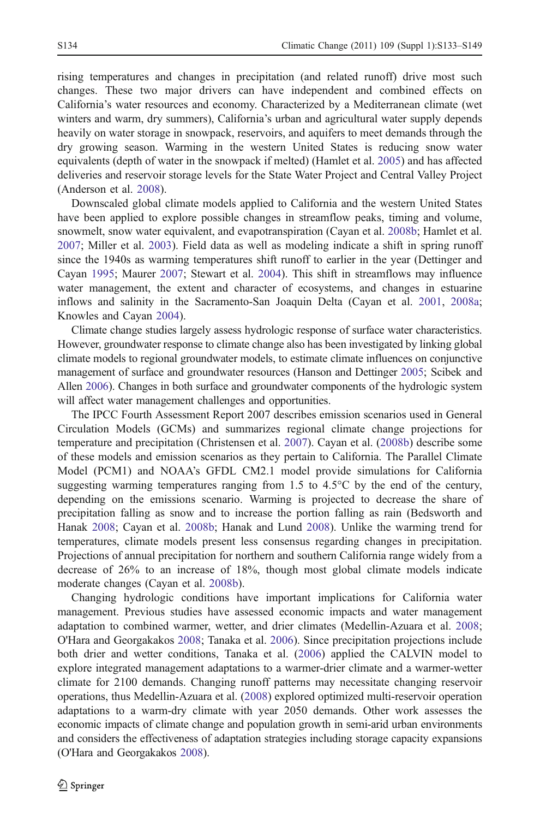rising temperatures and changes in precipitation (and related runoff) drive most such changes. These two major drivers can have independent and combined effects on California's water resources and economy. Characterized by a Mediterranean climate (wet winters and warm, dry summers), California's urban and agricultural water supply depends heavily on water storage in snowpack, reservoirs, and aquifers to meet demands through the dry growing season. Warming in the western United States is reducing snow water equivalents (depth of water in the snowpack if melted) (Hamlet et al. [2005](#page-15-0)) and has affected deliveries and reservoir storage levels for the State Water Project and Central Valley Project (Anderson et al. [2008](#page-15-0)).

Downscaled global climate models applied to California and the western United States have been applied to explore possible changes in streamflow peaks, timing and volume, snowmelt, snow water equivalent, and evapotranspiration (Cayan et al. [2008b](#page-15-0); Hamlet et al. [2007;](#page-15-0) Miller et al. [2003\)](#page-16-0). Field data as well as modeling indicate a shift in spring runoff since the 1940s as warming temperatures shift runoff to earlier in the year (Dettinger and Cayan [1995](#page-15-0); Maurer [2007](#page-16-0); Stewart et al. [2004](#page-16-0)). This shift in streamflows may influence water management, the extent and character of ecosystems, and changes in estuarine inflows and salinity in the Sacramento-San Joaquin Delta (Cayan et al. [2001,](#page-15-0) [2008a](#page-15-0); Knowles and Cayan [2004](#page-16-0)).

Climate change studies largely assess hydrologic response of surface water characteristics. However, groundwater response to climate change also has been investigated by linking global climate models to regional groundwater models, to estimate climate influences on conjunctive management of surface and groundwater resources (Hanson and Dettinger [2005;](#page-15-0) Scibek and Allen [2006](#page-16-0)). Changes in both surface and groundwater components of the hydrologic system will affect water management challenges and opportunities.

The IPCC Fourth Assessment Report 2007 describes emission scenarios used in General Circulation Models (GCMs) and summarizes regional climate change projections for temperature and precipitation (Christensen et al. [2007](#page-15-0)). Cayan et al. ([2008b](#page-15-0)) describe some of these models and emission scenarios as they pertain to California. The Parallel Climate Model (PCM1) and NOAA's GFDL CM2.1 model provide simulations for California suggesting warming temperatures ranging from 1.5 to 4.5°C by the end of the century, depending on the emissions scenario. Warming is projected to decrease the share of precipitation falling as snow and to increase the portion falling as rain (Bedsworth and Hanak [2008;](#page-15-0) Cayan et al. [2008b;](#page-15-0) Hanak and Lund [2008\)](#page-15-0). Unlike the warming trend for temperatures, climate models present less consensus regarding changes in precipitation. Projections of annual precipitation for northern and southern California range widely from a decrease of 26% to an increase of 18%, though most global climate models indicate moderate changes (Cayan et al. [2008b\)](#page-15-0).

Changing hydrologic conditions have important implications for California water management. Previous studies have assessed economic impacts and water management adaptation to combined warmer, wetter, and drier climates (Medellin-Azuara et al. [2008](#page-16-0); O'Hara and Georgakakos [2008;](#page-16-0) Tanaka et al. [2006\)](#page-16-0). Since precipitation projections include both drier and wetter conditions, Tanaka et al. ([2006\)](#page-16-0) applied the CALVIN model to explore integrated management adaptations to a warmer-drier climate and a warmer-wetter climate for 2100 demands. Changing runoff patterns may necessitate changing reservoir operations, thus Medellin-Azuara et al. [\(2008\)](#page-16-0) explored optimized multi-reservoir operation adaptations to a warm-dry climate with year 2050 demands. Other work assesses the economic impacts of climate change and population growth in semi-arid urban environments and considers the effectiveness of adaptation strategies including storage capacity expansions (O'Hara and Georgakakos [2008](#page-16-0)).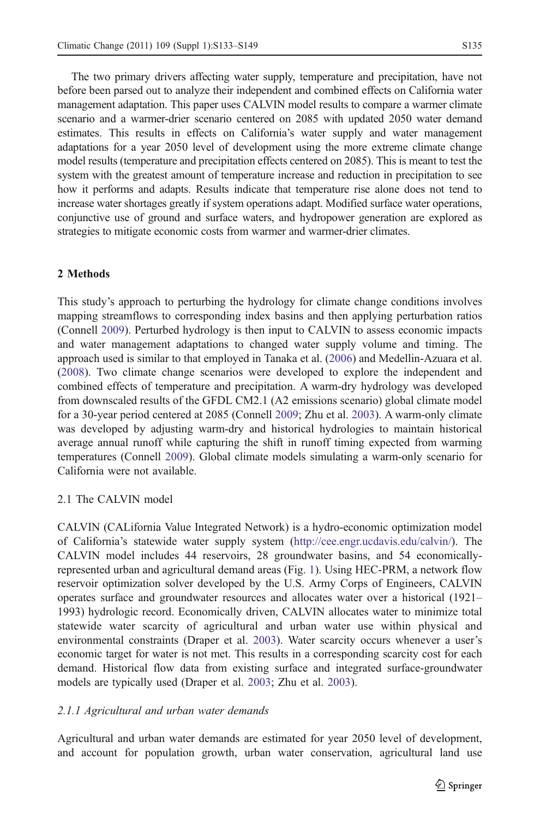The two primary drivers affecting water supply, temperature and precipitation, have not before been parsed out to analyze their independent and combined effects on California water management adaptation. This paper uses CALVIN model results to compare a warmer climate scenario and a warmer-drier scenario centered on 2085 with updated 2050 water demand estimates. This results in effects on California's water supply and water management adaptations for a year 2050 level of development using the more extreme climate change model results (temperature and precipitation effects centered on 2085). This is meant to test the system with the greatest amount of temperature increase and reduction in precipitation to see how it performs and adapts. Results indicate that temperature rise alone does not tend to increase water shortages greatly if system operations adapt. Modified surface water operations, conjunctive use of ground and surface waters, and hydropower generation are explored as strategies to mitigate economic costs from warmer and warmer-drier climates.

# 2 Methods

This study's approach to perturbing the hydrology for climate change conditions involves mapping streamflows to corresponding index basins and then applying perturbation ratios (Connell [2009](#page-15-0)). Perturbed hydrology is then input to CALVIN to assess economic impacts and water management adaptations to changed water supply volume and timing. The approach used is similar to that employed in Tanaka et al. ([2006\)](#page-16-0) and Medellin-Azuara et al. ([2008\)](#page-16-0). Two climate change scenarios were developed to explore the independent and combined effects of temperature and precipitation. A warm-dry hydrology was developed from downscaled results of the GFDL CM2.1 (A2 emissions scenario) global climate model for a 30-year period centered at 2085 (Connell [2009;](#page-15-0) Zhu et al. [2003](#page-16-0)). A warm-only climate was developed by adjusting warm-dry and historical hydrologies to maintain historical average annual runoff while capturing the shift in runoff timing expected from warming temperatures (Connell [2009](#page-15-0)). Global climate models simulating a warm-only scenario for California were not available.

# 2.1 The CALVIN model

CALVIN (CALifornia Value Integrated Network) is a hydro-economic optimization model of California's statewide water supply system [\(http://cee.engr.ucdavis.edu/calvin/](http://cee.engr.ucdavis.edu/calvin/)). The CALVIN model includes 44 reservoirs, 28 groundwater basins, and 54 economicallyrepresented urban and agricultural demand areas (Fig. [1](#page-3-0)). Using HEC-PRM, a network flow reservoir optimization solver developed by the U.S. Army Corps of Engineers, CALVIN operates surface and groundwater resources and allocates water over a historical (1921– 1993) hydrologic record. Economically driven, CALVIN allocates water to minimize total statewide water scarcity of agricultural and urban water use within physical and environmental constraints (Draper et al. [2003](#page-15-0)). Water scarcity occurs whenever a user's economic target for water is not met. This results in a corresponding scarcity cost for each demand. Historical flow data from existing surface and integrated surface-groundwater models are typically used (Draper et al. [2003;](#page-15-0) Zhu et al. [2003\)](#page-16-0).

# 2.1.1 Agricultural and urban water demands

Agricultural and urban water demands are estimated for year 2050 level of development, and account for population growth, urban water conservation, agricultural land use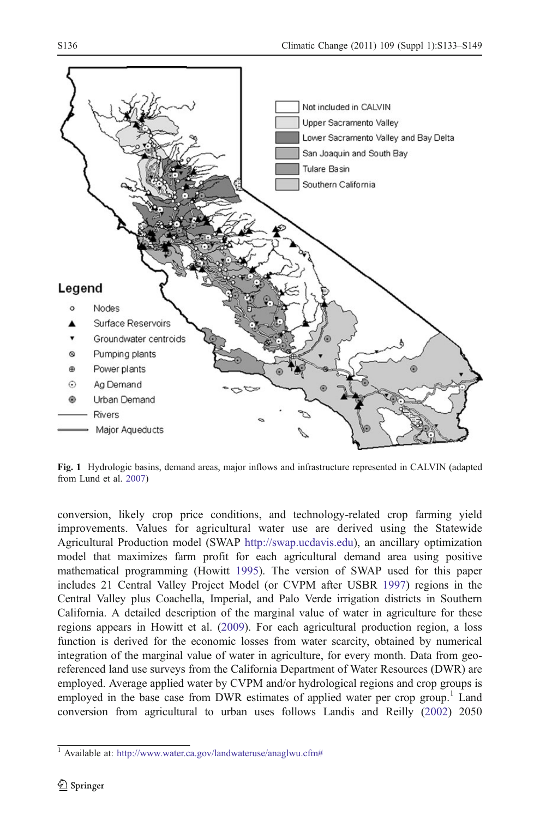<span id="page-3-0"></span>

Fig. 1 Hydrologic basins, demand areas, major inflows and infrastructure represented in CALVIN (adapted from Lund et al. [2007](#page-16-0))

conversion, likely crop price conditions, and technology-related crop farming yield improvements. Values for agricultural water use are derived using the Statewide Agricultural Production model (SWAP [http://swap.ucdavis.edu\)](http://swap.ucdavis.edu), an ancillary optimization model that maximizes farm profit for each agricultural demand area using positive mathematical programming (Howitt [1995\)](#page-15-0). The version of SWAP used for this paper includes 21 Central Valley Project Model (or CVPM after USBR [1997](#page-16-0)) regions in the Central Valley plus Coachella, Imperial, and Palo Verde irrigation districts in Southern California. A detailed description of the marginal value of water in agriculture for these regions appears in Howitt et al. [\(2009](#page-15-0)). For each agricultural production region, a loss function is derived for the economic losses from water scarcity, obtained by numerical integration of the marginal value of water in agriculture, for every month. Data from georeferenced land use surveys from the California Department of Water Resources (DWR) are employed. Average applied water by CVPM and/or hydrological regions and crop groups is employed in the base case from DWR estimates of applied water per crop group.<sup>1</sup> Land conversion from agricultural to urban uses follows Landis and Reilly ([2002\)](#page-16-0) 2050

<sup>1</sup> Available at: <http://www.water.ca.gov/landwateruse/anaglwu.cfm#>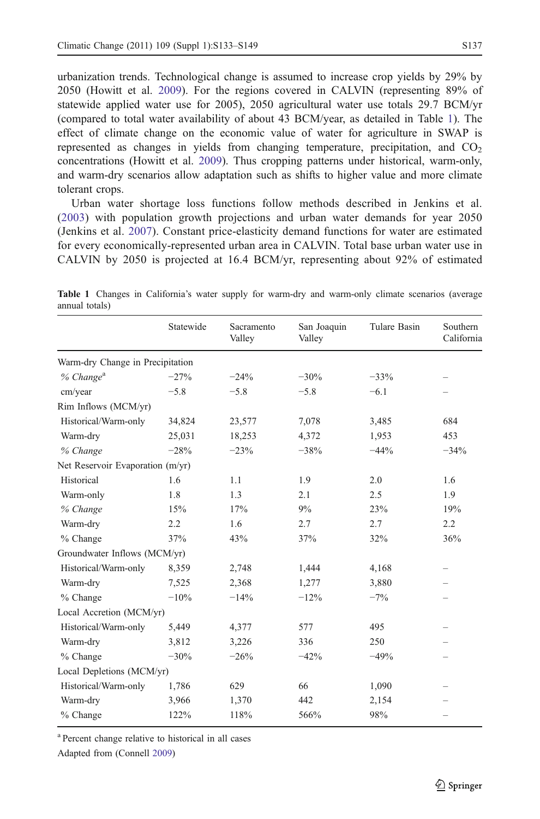<span id="page-4-0"></span>urbanization trends. Technological change is assumed to increase crop yields by 29% by 2050 (Howitt et al. [2009\)](#page-15-0). For the regions covered in CALVIN (representing 89% of statewide applied water use for 2005), 2050 agricultural water use totals 29.7 BCM/yr (compared to total water availability of about 43 BCM/year, as detailed in Table 1). The effect of climate change on the economic value of water for agriculture in SWAP is represented as changes in yields from changing temperature, precipitation, and  $CO<sub>2</sub>$ concentrations (Howitt et al. [2009\)](#page-15-0). Thus cropping patterns under historical, warm-only, and warm-dry scenarios allow adaptation such as shifts to higher value and more climate tolerant crops.

Urban water shortage loss functions follow methods described in Jenkins et al. ([2003](#page-15-0)) with population growth projections and urban water demands for year 2050 (Jenkins et al. [2007\)](#page-16-0). Constant price-elasticity demand functions for water are estimated for every economically-represented urban area in CALVIN. Total base urban water use in CALVIN by 2050 is projected at 16.4 BCM/yr, representing about 92% of estimated

|                                  | Statewide | Sacramento<br>Valley | San Joaquin<br>Valley | Tulare Basin | Southern<br>California |
|----------------------------------|-----------|----------------------|-----------------------|--------------|------------------------|
| Warm-dry Change in Precipitation |           |                      |                       |              |                        |
| % Change <sup>a</sup>            | $-27%$    | $-24%$               | $-30%$                | $-33%$       |                        |
| cm/year                          | $-5.8$    | $-5.8$               | $-5.8$                | $-6.1$       |                        |
| Rim Inflows (MCM/yr)             |           |                      |                       |              |                        |
| Historical/Warm-only             | 34,824    | 23,577               | 7,078                 | 3,485        | 684                    |
| Warm-dry                         | 25,031    | 18,253               | 4,372                 | 1,953        | 453                    |
| $%$ Change                       | $-28%$    | $-23%$               | $-38%$                | $-44%$       | $-34%$                 |
| Net Reservoir Evaporation (m/yr) |           |                      |                       |              |                        |
| Historical                       | 1.6       | 1.1                  | 1.9                   | 2.0          | 1.6                    |
| Warm-only                        | 1.8       | 1.3                  | 2.1                   | 2.5          | 1.9                    |
| % Change                         | 15%       | 17%                  | 9%                    | 23%          | 19%                    |
| Warm-dry                         | 2.2       | 1.6                  | 2.7                   | 2.7          | $2.2^{\circ}$          |
| $%$ Change                       | 37%       | 43%                  | 37%                   | 32%          | 36%                    |
| Groundwater Inflows (MCM/yr)     |           |                      |                       |              |                        |
| Historical/Warm-only             | 8,359     | 2,748                | 1,444                 | 4,168        |                        |
| Warm-dry                         | 7,525     | 2,368                | 1,277                 | 3,880        |                        |
| $%$ Change                       | $-10%$    | $-14%$               | $-12%$                | $-7%$        |                        |
| Local Accretion (MCM/yr)         |           |                      |                       |              |                        |
| Historical/Warm-only             | 5,449     | 4,377                | 577                   | 495          |                        |
| Warm-dry                         | 3,812     | 3,226                | 336                   | 250          |                        |
| $%$ Change                       | $-30%$    | $-26%$               | $-42%$                | $-49%$       |                        |
| Local Depletions (MCM/yr)        |           |                      |                       |              |                        |
| Historical/Warm-only             | 1,786     | 629                  | 66                    | 1,090        |                        |
| Warm-dry                         | 3,966     | 1,370                | 442                   | 2,154        |                        |
| $%$ Change                       | 122%      | 118%                 | 566%                  | 98%          |                        |

Table 1 Changes in California's water supply for warm-dry and warm-only climate scenarios (average annual totals)

<sup>a</sup> Percent change relative to historical in all cases

Adapted from (Connell [2009](#page-15-0))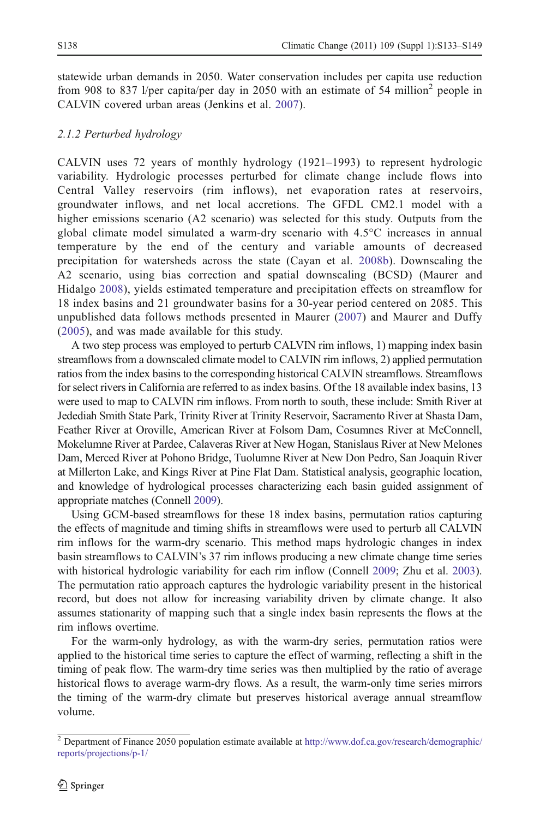statewide urban demands in 2050. Water conservation includes per capita use reduction from 908 to 837 l/per capita/per day in 2050 with an estimate of 54 million<sup>2</sup> people in CALVIN covered urban areas (Jenkins et al. [2007](#page-16-0)).

# 2.1.2 Perturbed hydrology

CALVIN uses 72 years of monthly hydrology (1921–1993) to represent hydrologic variability. Hydrologic processes perturbed for climate change include flows into Central Valley reservoirs (rim inflows), net evaporation rates at reservoirs, groundwater inflows, and net local accretions. The GFDL CM2.1 model with a higher emissions scenario (A2 scenario) was selected for this study. Outputs from the global climate model simulated a warm-dry scenario with 4.5°C increases in annual temperature by the end of the century and variable amounts of decreased precipitation for watersheds across the state (Cayan et al. [2008b\)](#page-15-0). Downscaling the A2 scenario, using bias correction and spatial downscaling (BCSD) (Maurer and Hidalgo [2008\)](#page-16-0), yields estimated temperature and precipitation effects on streamflow for 18 index basins and 21 groundwater basins for a 30-year period centered on 2085. This unpublished data follows methods presented in Maurer [\(2007\)](#page-16-0) and Maurer and Duffy ([2005\)](#page-16-0), and was made available for this study.

A two step process was employed to perturb CALVIN rim inflows, 1) mapping index basin streamflows from a downscaled climate model to CALVIN rim inflows, 2) applied permutation ratios from the index basins to the corresponding historical CALVIN streamflows. Streamflows for select rivers in California are referred to as index basins. Of the 18 available index basins, 13 were used to map to CALVIN rim inflows. From north to south, these include: Smith River at Jedediah Smith State Park, Trinity River at Trinity Reservoir, Sacramento River at Shasta Dam, Feather River at Oroville, American River at Folsom Dam, Cosumnes River at McConnell, Mokelumne River at Pardee, Calaveras River at New Hogan, Stanislaus River at New Melones Dam, Merced River at Pohono Bridge, Tuolumne River at New Don Pedro, San Joaquin River at Millerton Lake, and Kings River at Pine Flat Dam. Statistical analysis, geographic location, and knowledge of hydrological processes characterizing each basin guided assignment of appropriate matches (Connell [2009](#page-15-0)).

Using GCM-based streamflows for these 18 index basins, permutation ratios capturing the effects of magnitude and timing shifts in streamflows were used to perturb all CALVIN rim inflows for the warm-dry scenario. This method maps hydrologic changes in index basin streamflows to CALVIN's 37 rim inflows producing a new climate change time series with historical hydrologic variability for each rim inflow (Connell [2009](#page-15-0); Zhu et al. [2003](#page-16-0)). The permutation ratio approach captures the hydrologic variability present in the historical record, but does not allow for increasing variability driven by climate change. It also assumes stationarity of mapping such that a single index basin represents the flows at the rim inflows overtime.

For the warm-only hydrology, as with the warm-dry series, permutation ratios were applied to the historical time series to capture the effect of warming, reflecting a shift in the timing of peak flow. The warm-dry time series was then multiplied by the ratio of average historical flows to average warm-dry flows. As a result, the warm-only time series mirrors the timing of the warm-dry climate but preserves historical average annual streamflow volume.

 $\frac{2}{3}$  Department of Finance 2050 population estimate available at [http://www.dof.ca.gov/research/demographic/](http://www.dof.ca.gov/research/demographic/reports/projections/p-1/) [reports/projections/p-1/](http://www.dof.ca.gov/research/demographic/reports/projections/p-1/)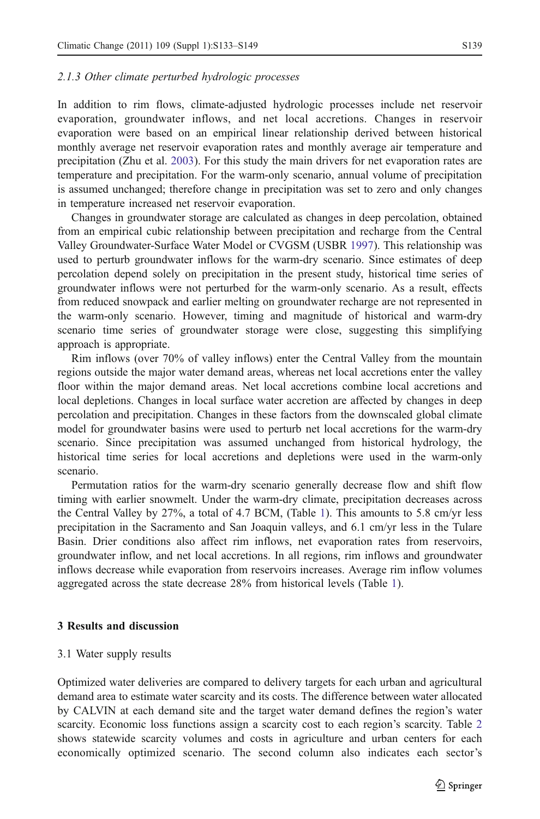### 2.1.3 Other climate perturbed hydrologic processes

In addition to rim flows, climate-adjusted hydrologic processes include net reservoir evaporation, groundwater inflows, and net local accretions. Changes in reservoir evaporation were based on an empirical linear relationship derived between historical monthly average net reservoir evaporation rates and monthly average air temperature and precipitation (Zhu et al. [2003](#page-16-0)). For this study the main drivers for net evaporation rates are temperature and precipitation. For the warm-only scenario, annual volume of precipitation is assumed unchanged; therefore change in precipitation was set to zero and only changes in temperature increased net reservoir evaporation.

Changes in groundwater storage are calculated as changes in deep percolation, obtained from an empirical cubic relationship between precipitation and recharge from the Central Valley Groundwater-Surface Water Model or CVGSM (USBR [1997](#page-16-0)). This relationship was used to perturb groundwater inflows for the warm-dry scenario. Since estimates of deep percolation depend solely on precipitation in the present study, historical time series of groundwater inflows were not perturbed for the warm-only scenario. As a result, effects from reduced snowpack and earlier melting on groundwater recharge are not represented in the warm-only scenario. However, timing and magnitude of historical and warm-dry scenario time series of groundwater storage were close, suggesting this simplifying approach is appropriate.

Rim inflows (over 70% of valley inflows) enter the Central Valley from the mountain regions outside the major water demand areas, whereas net local accretions enter the valley floor within the major demand areas. Net local accretions combine local accretions and local depletions. Changes in local surface water accretion are affected by changes in deep percolation and precipitation. Changes in these factors from the downscaled global climate model for groundwater basins were used to perturb net local accretions for the warm-dry scenario. Since precipitation was assumed unchanged from historical hydrology, the historical time series for local accretions and depletions were used in the warm-only scenario.

Permutation ratios for the warm-dry scenario generally decrease flow and shift flow timing with earlier snowmelt. Under the warm-dry climate, precipitation decreases across the Central Valley by 27%, a total of 4.7 BCM, (Table [1](#page-4-0)). This amounts to 5.8 cm/yr less precipitation in the Sacramento and San Joaquin valleys, and 6.1 cm/yr less in the Tulare Basin. Drier conditions also affect rim inflows, net evaporation rates from reservoirs, groundwater inflow, and net local accretions. In all regions, rim inflows and groundwater inflows decrease while evaporation from reservoirs increases. Average rim inflow volumes aggregated across the state decrease 28% from historical levels (Table [1](#page-4-0)).

# 3 Results and discussion

#### 3.1 Water supply results

Optimized water deliveries are compared to delivery targets for each urban and agricultural demand area to estimate water scarcity and its costs. The difference between water allocated by CALVIN at each demand site and the target water demand defines the region's water scarcity. Economic loss functions assign a scarcity cost to each region's scarcity. Table [2](#page-7-0) shows statewide scarcity volumes and costs in agriculture and urban centers for each economically optimized scenario. The second column also indicates each sector's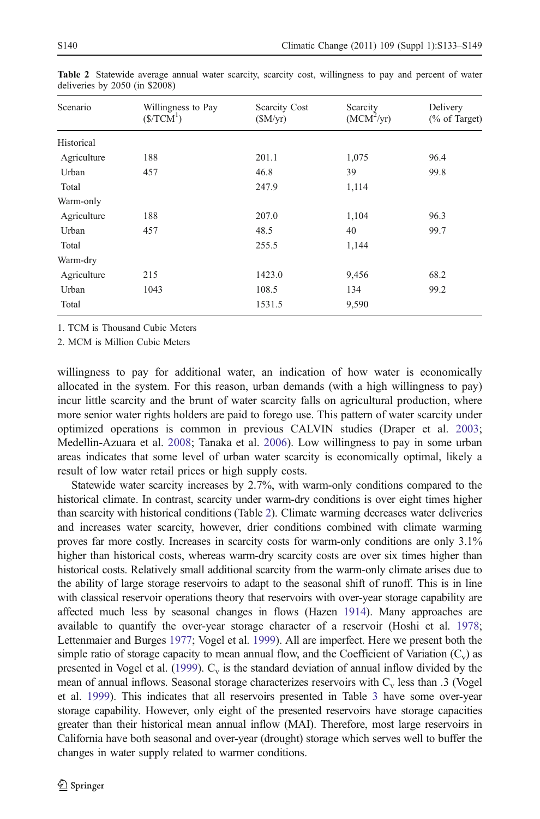| Scenario    | Willingness to Pay<br>(S/TCM <sup>1</sup> ) | <b>Scarcity Cost</b><br>(SM/yr) | Scarcity<br>(MCM <sup>2</sup> /yr) | Delivery<br>(% of Target) |
|-------------|---------------------------------------------|---------------------------------|------------------------------------|---------------------------|
| Historical  |                                             |                                 |                                    |                           |
| Agriculture | 188                                         | 201.1                           | 1,075                              | 96.4                      |
| Urban       | 457                                         | 46.8                            | 39                                 | 99.8                      |
| Total       |                                             | 247.9                           | 1,114                              |                           |
| Warm-only   |                                             |                                 |                                    |                           |
| Agriculture | 188                                         | 207.0                           | 1,104                              | 96.3                      |
| Urban       | 457                                         | 48.5                            | 40                                 | 99.7                      |
| Total       |                                             | 255.5                           | 1,144                              |                           |
| Warm-dry    |                                             |                                 |                                    |                           |
| Agriculture | 215                                         | 1423.0                          | 9,456                              | 68.2                      |
| Urban       | 1043                                        | 108.5                           | 134                                | 99.2                      |
| Total       |                                             | 1531.5                          | 9,590                              |                           |

<span id="page-7-0"></span>Table 2 Statewide average annual water scarcity, scarcity cost, willingness to pay and percent of water deliveries by 2050 (in \$2008)

1. TCM is Thousand Cubic Meters

2. MCM is Million Cubic Meters

willingness to pay for additional water, an indication of how water is economically allocated in the system. For this reason, urban demands (with a high willingness to pay) incur little scarcity and the brunt of water scarcity falls on agricultural production, where more senior water rights holders are paid to forego use. This pattern of water scarcity under optimized operations is common in previous CALVIN studies (Draper et al. [2003](#page-15-0); Medellin-Azuara et al. [2008;](#page-16-0) Tanaka et al. [2006\)](#page-16-0). Low willingness to pay in some urban areas indicates that some level of urban water scarcity is economically optimal, likely a result of low water retail prices or high supply costs.

Statewide water scarcity increases by 2.7%, with warm-only conditions compared to the historical climate. In contrast, scarcity under warm-dry conditions is over eight times higher than scarcity with historical conditions (Table 2). Climate warming decreases water deliveries and increases water scarcity, however, drier conditions combined with climate warming proves far more costly. Increases in scarcity costs for warm-only conditions are only 3.1% higher than historical costs, whereas warm-dry scarcity costs are over six times higher than historical costs. Relatively small additional scarcity from the warm-only climate arises due to the ability of large storage reservoirs to adapt to the seasonal shift of runoff. This is in line with classical reservoir operations theory that reservoirs with over-year storage capability are affected much less by seasonal changes in flows (Hazen [1914](#page-15-0)). Many approaches are available to quantify the over-year storage character of a reservoir (Hoshi et al. [1978](#page-15-0); Lettenmaier and Burges [1977](#page-16-0); Vogel et al. [1999](#page-16-0)). All are imperfect. Here we present both the simple ratio of storage capacity to mean annual flow, and the Coefficient of Variation  $(C_v)$  as presented in Vogel et al.  $(1999)$ .  $C_v$  is the standard deviation of annual inflow divided by the mean of annual inflows. Seasonal storage characterizes reservoirs with  $C_v$  less than .3 (Vogel et al. [1999](#page-16-0)). This indicates that all reservoirs presented in Table [3](#page-8-0) have some over-year storage capability. However, only eight of the presented reservoirs have storage capacities greater than their historical mean annual inflow (MAI). Therefore, most large reservoirs in California have both seasonal and over-year (drought) storage which serves well to buffer the changes in water supply related to warmer conditions.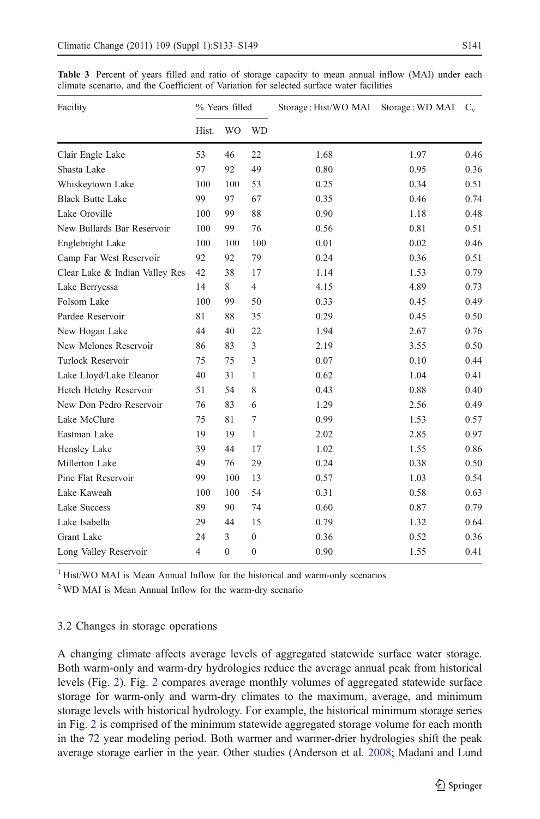| Facility                       | % Years filled |                |                | Storage: Hist/WO MAI | Storage: WD MAI | $C_{v}$ |
|--------------------------------|----------------|----------------|----------------|----------------------|-----------------|---------|
|                                | Hist.          | W <sub>O</sub> | <b>WD</b>      |                      |                 |         |
| Clair Engle Lake               | 53             | 46             | 22             | 1.68                 | 1.97            | 0.46    |
| Shasta Lake                    | 97             | 92             | 49             | 0.80                 | 0.95            | 0.36    |
| Whiskeytown Lake               | 100            | 100            | 53             | 0.25                 | 0.34            | 0.51    |
| <b>Black Butte Lake</b>        | 99             | 97             | 67             | 0.35                 | 0.46            | 0.74    |
| Lake Oroville                  | 100            | 99             | 88             | 0.90                 | 1.18            | 0.48    |
| New Bullards Bar Reservoir     | 100            | 99             | 76             | 0.56                 | 0.81            | 0.51    |
| Englebright Lake               | 100            | 100            | 100            | 0.01                 | 0.02            | 0.46    |
| Camp Far West Reservoir        | 92             | 92             | 79             | 0.24                 | 0.36            | 0.51    |
| Clear Lake & Indian Valley Res | 42             | 38             | 17             | 1.14                 | 1.53            | 0.79    |
| Lake Berryessa                 | 14             | 8              | $\overline{4}$ | 4.15                 | 4.89            | 0.73    |
| Folsom Lake                    | 100            | 99             | 50             | 0.33                 | 0.45            | 0.49    |
| Pardee Reservoir               | 81             | 88             | 35             | 0.29                 | 0.45            | 0.50    |
| New Hogan Lake                 | 44             | 40             | 22             | 1.94                 | 2.67            | 0.76    |
| New Melones Reservoir          | 86             | 83             | 3              | 2.19                 | 3.55            | 0.50    |
| Turlock Reservoir              | 75             | 75             | 3              | 0.07                 | 0.10            | 0.44    |
| Lake Lloyd/Lake Eleanor        | 40             | 31             | $\mathbf{1}$   | 0.62                 | 1.04            | 0.41    |
| Hetch Hetchy Reservoir         | 51             | 54             | 8              | 0.43                 | 0.88            | 0.40    |
| New Don Pedro Reservoir        | 76             | 83             | 6              | 1.29                 | 2.56            | 0.49    |
| Lake McClure                   | 75             | 81             | 7              | 0.99                 | 1.53            | 0.57    |
| Eastman Lake                   | 19             | 19             | $\mathbf{1}$   | 2.02                 | 2.85            | 0.97    |
| Hensley Lake                   | 39             | 44             | 17             | 1.02                 | 1.55            | 0.86    |
| Millerton Lake                 | 49             | 76             | 29             | 0.24                 | 0.38            | 0.50    |
| Pine Flat Reservoir            | 99             | 100            | 13             | 0.57                 | 1.03            | 0.54    |
| Lake Kaweah                    | 100            | 100            | 54             | 0.31                 | 0.58            | 0.63    |
| Lake Success                   | 89             | 90             | 74             | 0.60                 | 0.87            | 0.79    |
| Lake Isabella                  | 29             | 44             | 15             | 0.79                 | 1.32            | 0.64    |
| Grant Lake                     | 24             | 3              | $\mathbf{0}$   | 0.36                 | 0.52            | 0.36    |
| Long Valley Reservoir          | $\overline{4}$ | $\mathbf{0}$   | $\overline{0}$ | 0.90                 | 1.55            | 0.41    |

<span id="page-8-0"></span>Table 3 Percent of years filled and ratio of storage capacity to mean annual inflow (MAI) under each climate scenario, and the Coefficient of Variation for selected surface water facilities

<sup>1</sup> Hist/WO MAI is Mean Annual Inflow for the historical and warm-only scenarios

<sup>2</sup> WD MAI is Mean Annual Inflow for the warm-dry scenario

# 3.2 Changes in storage operations

A changing climate affects average levels of aggregated statewide surface water storage. Both warm-only and warm-dry hydrologies reduce the average annual peak from historical levels (Fig. [2](#page-9-0)). Fig. [2](#page-9-0) compares average monthly volumes of aggregated statewide surface storage for warm-only and warm-dry climates to the maximum, average, and minimum storage levels with historical hydrology. For example, the historical minimum storage series in Fig. [2](#page-9-0) is comprised of the minimum statewide aggregated storage volume for each month in the 72 year modeling period. Both warmer and warmer-drier hydrologies shift the peak average storage earlier in the year. Other studies (Anderson et al. [2008;](#page-15-0) Madani and Lund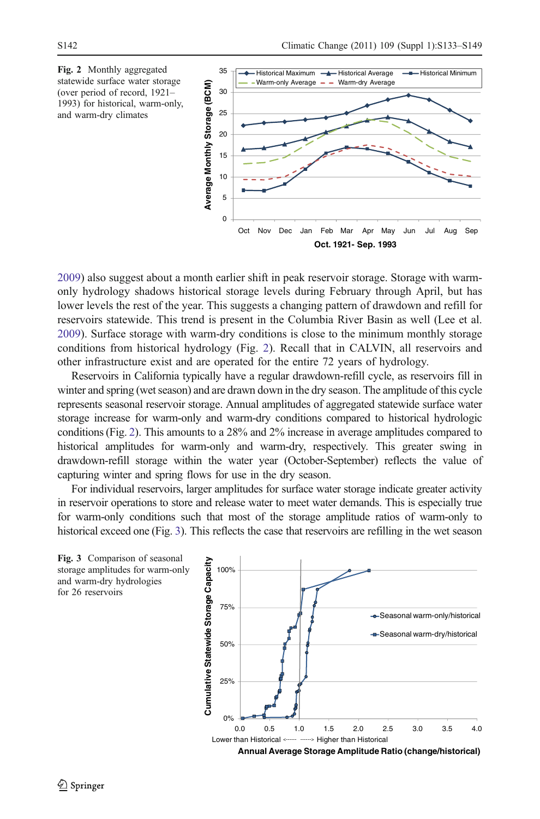<span id="page-9-0"></span>

[2009\)](#page-16-0) also suggest about a month earlier shift in peak reservoir storage. Storage with warmonly hydrology shadows historical storage levels during February through April, but has lower levels the rest of the year. This suggests a changing pattern of drawdown and refill for reservoirs statewide. This trend is present in the Columbia River Basin as well (Lee et al. [2009\)](#page-16-0). Surface storage with warm-dry conditions is close to the minimum monthly storage conditions from historical hydrology (Fig. 2). Recall that in CALVIN, all reservoirs and other infrastructure exist and are operated for the entire 72 years of hydrology.

Reservoirs in California typically have a regular drawdown-refill cycle, as reservoirs fill in winter and spring (wet season) and are drawn down in the dry season. The amplitude of this cycle represents seasonal reservoir storage. Annual amplitudes of aggregated statewide surface water storage increase for warm-only and warm-dry conditions compared to historical hydrologic conditions (Fig. 2). This amounts to a 28% and 2% increase in average amplitudes compared to historical amplitudes for warm-only and warm-dry, respectively. This greater swing in drawdown-refill storage within the water year (October-September) reflects the value of capturing winter and spring flows for use in the dry season.

For individual reservoirs, larger amplitudes for surface water storage indicate greater activity in reservoir operations to store and release water to meet water demands. This is especially true for warm-only conditions such that most of the storage amplitude ratios of warm-only to historical exceed one (Fig. 3). This reflects the case that reservoirs are refilling in the wet season

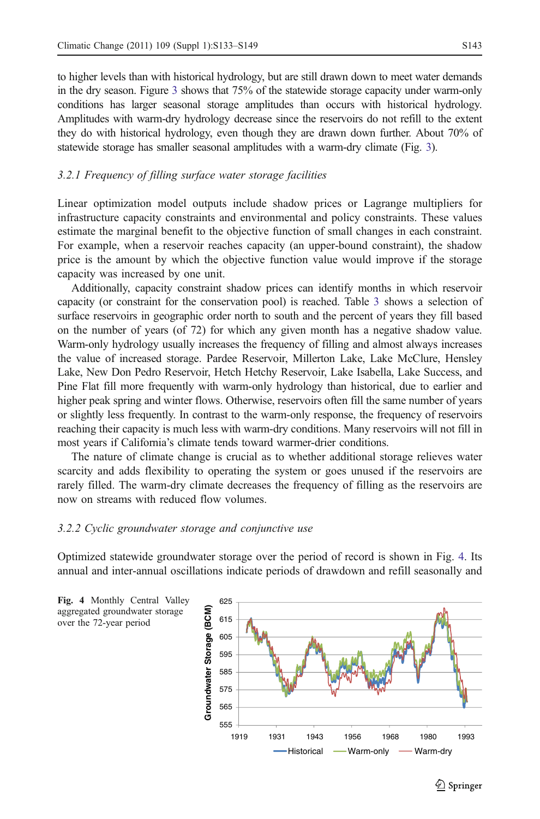<span id="page-10-0"></span>to higher levels than with historical hydrology, but are still drawn down to meet water demands in the dry season. Figure [3](#page-9-0) shows that 75% of the statewide storage capacity under warm-only conditions has larger seasonal storage amplitudes than occurs with historical hydrology. Amplitudes with warm-dry hydrology decrease since the reservoirs do not refill to the extent they do with historical hydrology, even though they are drawn down further. About 70% of statewide storage has smaller seasonal amplitudes with a warm-dry climate (Fig. [3](#page-9-0)).

# 3.2.1 Frequency of filling surface water storage facilities

Linear optimization model outputs include shadow prices or Lagrange multipliers for infrastructure capacity constraints and environmental and policy constraints. These values estimate the marginal benefit to the objective function of small changes in each constraint. For example, when a reservoir reaches capacity (an upper-bound constraint), the shadow price is the amount by which the objective function value would improve if the storage capacity was increased by one unit.

Additionally, capacity constraint shadow prices can identify months in which reservoir capacity (or constraint for the conservation pool) is reached. Table [3](#page-8-0) shows a selection of surface reservoirs in geographic order north to south and the percent of years they fill based on the number of years (of 72) for which any given month has a negative shadow value. Warm-only hydrology usually increases the frequency of filling and almost always increases the value of increased storage. Pardee Reservoir, Millerton Lake, Lake McClure, Hensley Lake, New Don Pedro Reservoir, Hetch Hetchy Reservoir, Lake Isabella, Lake Success, and Pine Flat fill more frequently with warm-only hydrology than historical, due to earlier and higher peak spring and winter flows. Otherwise, reservoirs often fill the same number of years or slightly less frequently. In contrast to the warm-only response, the frequency of reservoirs reaching their capacity is much less with warm-dry conditions. Many reservoirs will not fill in most years if California's climate tends toward warmer-drier conditions.

The nature of climate change is crucial as to whether additional storage relieves water scarcity and adds flexibility to operating the system or goes unused if the reservoirs are rarely filled. The warm-dry climate decreases the frequency of filling as the reservoirs are now on streams with reduced flow volumes.

#### 3.2.2 Cyclic groundwater storage and conjunctive use

Optimized statewide groundwater storage over the period of record is shown in Fig. 4. Its annual and inter-annual oscillations indicate periods of drawdown and refill seasonally and

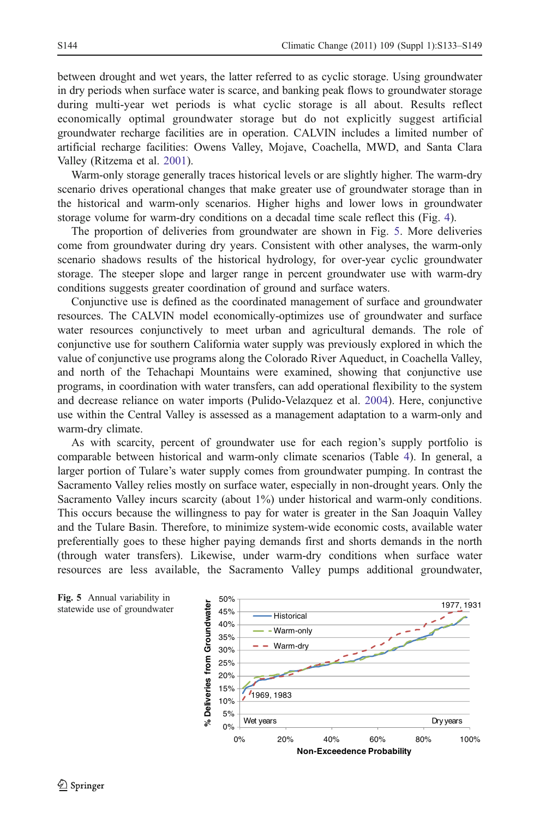between drought and wet years, the latter referred to as cyclic storage. Using groundwater in dry periods when surface water is scarce, and banking peak flows to groundwater storage during multi-year wet periods is what cyclic storage is all about. Results reflect economically optimal groundwater storage but do not explicitly suggest artificial groundwater recharge facilities are in operation. CALVIN includes a limited number of artificial recharge facilities: Owens Valley, Mojave, Coachella, MWD, and Santa Clara Valley (Ritzema et al. [2001](#page-16-0)).

Warm-only storage generally traces historical levels or are slightly higher. The warm-dry scenario drives operational changes that make greater use of groundwater storage than in the historical and warm-only scenarios. Higher highs and lower lows in groundwater storage volume for warm-dry conditions on a decadal time scale reflect this (Fig. [4\)](#page-10-0).

The proportion of deliveries from groundwater are shown in Fig. 5. More deliveries come from groundwater during dry years. Consistent with other analyses, the warm-only scenario shadows results of the historical hydrology, for over-year cyclic groundwater storage. The steeper slope and larger range in percent groundwater use with warm-dry conditions suggests greater coordination of ground and surface waters.

Conjunctive use is defined as the coordinated management of surface and groundwater resources. The CALVIN model economically-optimizes use of groundwater and surface water resources conjunctively to meet urban and agricultural demands. The role of conjunctive use for southern California water supply was previously explored in which the value of conjunctive use programs along the Colorado River Aqueduct, in Coachella Valley, and north of the Tehachapi Mountains were examined, showing that conjunctive use programs, in coordination with water transfers, can add operational flexibility to the system and decrease reliance on water imports (Pulido-Velazquez et al. [2004\)](#page-16-0). Here, conjunctive use within the Central Valley is assessed as a management adaptation to a warm-only and warm-dry climate.

As with scarcity, percent of groundwater use for each region's supply portfolio is comparable between historical and warm-only climate scenarios (Table [4](#page-12-0)). In general, a larger portion of Tulare's water supply comes from groundwater pumping. In contrast the Sacramento Valley relies mostly on surface water, especially in non-drought years. Only the Sacramento Valley incurs scarcity (about 1%) under historical and warm-only conditions. This occurs because the willingness to pay for water is greater in the San Joaquin Valley and the Tulare Basin. Therefore, to minimize system-wide economic costs, available water preferentially goes to these higher paying demands first and shorts demands in the north (through water transfers). Likewise, under warm-dry conditions when surface water resources are less available, the Sacramento Valley pumps additional groundwater,



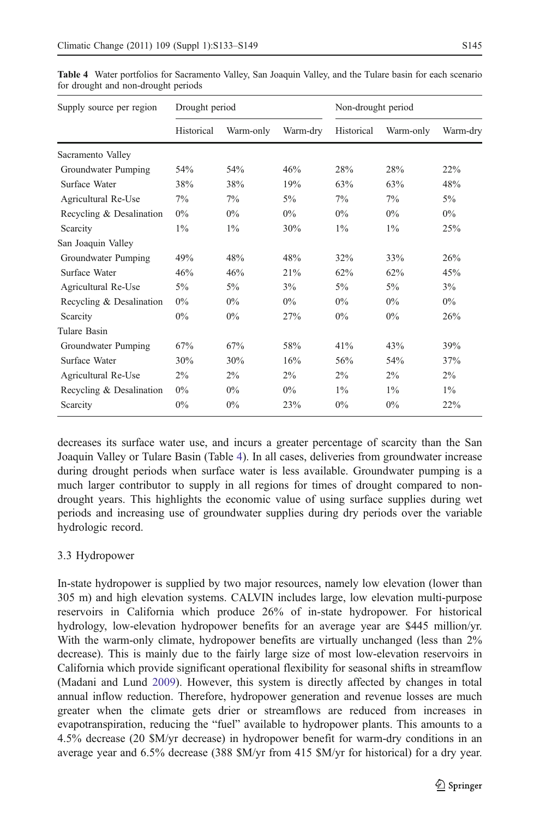| Supply source per region | Drought period |           |          | Non-drought period |           |          |
|--------------------------|----------------|-----------|----------|--------------------|-----------|----------|
|                          | Historical     | Warm-only | Warm-dry |                    | Warm-only | Warm-dry |
| Sacramento Valley        |                |           |          |                    |           |          |
| Groundwater Pumping      | 54%            | 54%       | 46%      | 28%                | 28%       | 22%      |
| Surface Water            | 38%            | 38%       | 19%      | 63%                | 63%       | 48%      |
| Agricultural Re-Use      | 7%             | 7%        | $5\%$    | 7%                 | $7\%$     | $5\%$    |
| Recycling & Desalination | $0\%$          | $0\%$     | $0\%$    | $0\%$              | $0\%$     | $0\%$    |
| Scarcity                 | $1\%$          | $1\%$     | 30%      | $1\%$              | $1\%$     | 25%      |
| San Joaquin Valley       |                |           |          |                    |           |          |
| Groundwater Pumping      | 49%            | 48%       | 48%      | 32%                | 33%       | 26%      |
| Surface Water            | 46%            | 46%       | 21%      | 62%                | 62%       | 45%      |
| Agricultural Re-Use      | $5\%$          | $5\%$     | 3%       | $5\%$              | $5\%$     | 3%       |
| Recycling & Desalination | $0\%$          | $0\%$     | $0\%$    | $0\%$              | $0\%$     | $0\%$    |
| Scarcity                 | $0\%$          | $0\%$     | 27%      | $0\%$              | $0\%$     | 26%      |
| Tulare Basin             |                |           |          |                    |           |          |
| Groundwater Pumping      | 67%            | 67%       | 58%      | 41%                | 43%       | 39%      |
| Surface Water            | 30%            | 30%       | 16%      | 56%                | 54%       | 37%      |
| Agricultural Re-Use      | $2\%$          | $2\%$     | $2\%$    | $2\%$              | $2\%$     | $2\%$    |
| Recycling & Desalination | $0\%$          | $0\%$     | $0\%$    | $1\%$              | $1\%$     | $1\%$    |
| Scarcity                 | 0%             | $0\%$     | 23%      | $0\%$              | 0%        | 22%      |

<span id="page-12-0"></span>Table 4 Water portfolios for Sacramento Valley, San Joaquin Valley, and the Tulare basin for each scenario for drought and non-drought periods

decreases its surface water use, and incurs a greater percentage of scarcity than the San Joaquin Valley or Tulare Basin (Table 4). In all cases, deliveries from groundwater increase during drought periods when surface water is less available. Groundwater pumping is a much larger contributor to supply in all regions for times of drought compared to nondrought years. This highlights the economic value of using surface supplies during wet periods and increasing use of groundwater supplies during dry periods over the variable hydrologic record.

# 3.3 Hydropower

In-state hydropower is supplied by two major resources, namely low elevation (lower than 305 m) and high elevation systems. CALVIN includes large, low elevation multi-purpose reservoirs in California which produce 26% of in-state hydropower. For historical hydrology, low-elevation hydropower benefits for an average year are \$445 million/yr. With the warm-only climate, hydropower benefits are virtually unchanged (less than 2%) decrease). This is mainly due to the fairly large size of most low-elevation reservoirs in California which provide significant operational flexibility for seasonal shifts in streamflow (Madani and Lund [2009\)](#page-16-0). However, this system is directly affected by changes in total annual inflow reduction. Therefore, hydropower generation and revenue losses are much greater when the climate gets drier or streamflows are reduced from increases in evapotranspiration, reducing the "fuel" available to hydropower plants. This amounts to a 4.5% decrease (20 \$M/yr decrease) in hydropower benefit for warm-dry conditions in an average year and 6.5% decrease (388 \$M/yr from 415 \$M/yr for historical) for a dry year.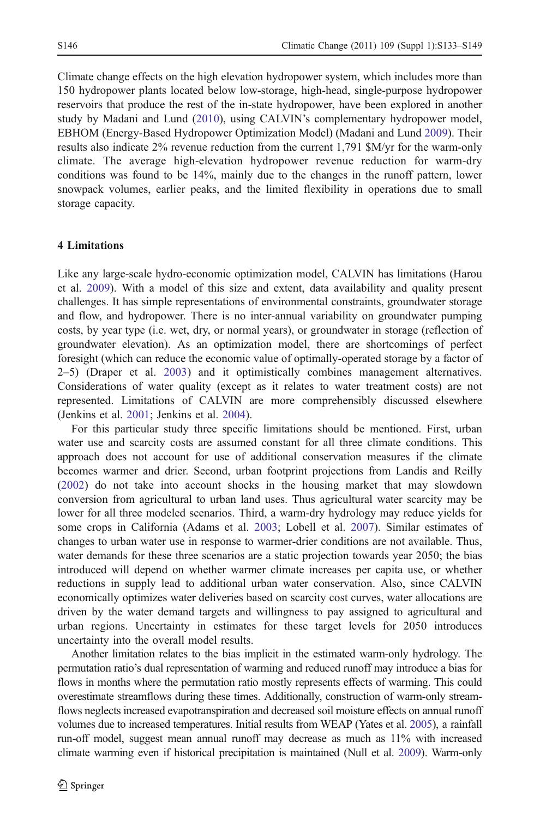Climate change effects on the high elevation hydropower system, which includes more than 150 hydropower plants located below low-storage, high-head, single-purpose hydropower reservoirs that produce the rest of the in-state hydropower, have been explored in another study by Madani and Lund ([2010\)](#page-16-0), using CALVIN's complementary hydropower model, EBHOM (Energy-Based Hydropower Optimization Model) (Madani and Lund [2009\)](#page-16-0). Their results also indicate 2% revenue reduction from the current 1,791 \$M/yr for the warm-only climate. The average high-elevation hydropower revenue reduction for warm-dry conditions was found to be 14%, mainly due to the changes in the runoff pattern, lower snowpack volumes, earlier peaks, and the limited flexibility in operations due to small storage capacity.

# 4 Limitations

Like any large-scale hydro-economic optimization model, CALVIN has limitations (Harou et al. [2009\)](#page-15-0). With a model of this size and extent, data availability and quality present challenges. It has simple representations of environmental constraints, groundwater storage and flow, and hydropower. There is no inter-annual variability on groundwater pumping costs, by year type (i.e. wet, dry, or normal years), or groundwater in storage (reflection of groundwater elevation). As an optimization model, there are shortcomings of perfect foresight (which can reduce the economic value of optimally-operated storage by a factor of 2–5) (Draper et al. [2003](#page-15-0)) and it optimistically combines management alternatives. Considerations of water quality (except as it relates to water treatment costs) are not represented. Limitations of CALVIN are more comprehensibly discussed elsewhere (Jenkins et al. [2001](#page-15-0); Jenkins et al. [2004](#page-15-0)).

For this particular study three specific limitations should be mentioned. First, urban water use and scarcity costs are assumed constant for all three climate conditions. This approach does not account for use of additional conservation measures if the climate becomes warmer and drier. Second, urban footprint projections from Landis and Reilly ([2002\)](#page-16-0) do not take into account shocks in the housing market that may slowdown conversion from agricultural to urban land uses. Thus agricultural water scarcity may be lower for all three modeled scenarios. Third, a warm-dry hydrology may reduce yields for some crops in California (Adams et al. [2003;](#page-15-0) Lobell et al. [2007\)](#page-16-0). Similar estimates of changes to urban water use in response to warmer-drier conditions are not available. Thus, water demands for these three scenarios are a static projection towards year 2050; the bias introduced will depend on whether warmer climate increases per capita use, or whether reductions in supply lead to additional urban water conservation. Also, since CALVIN economically optimizes water deliveries based on scarcity cost curves, water allocations are driven by the water demand targets and willingness to pay assigned to agricultural and urban regions. Uncertainty in estimates for these target levels for 2050 introduces uncertainty into the overall model results.

Another limitation relates to the bias implicit in the estimated warm-only hydrology. The permutation ratio's dual representation of warming and reduced runoff may introduce a bias for flows in months where the permutation ratio mostly represents effects of warming. This could overestimate streamflows during these times. Additionally, construction of warm-only streamflows neglects increased evapotranspiration and decreased soil moisture effects on annual runoff volumes due to increased temperatures. Initial results from WEAP (Yates et al. [2005\)](#page-16-0), a rainfall run-off model, suggest mean annual runoff may decrease as much as 11% with increased climate warming even if historical precipitation is maintained (Null et al. [2009\)](#page-16-0). Warm-only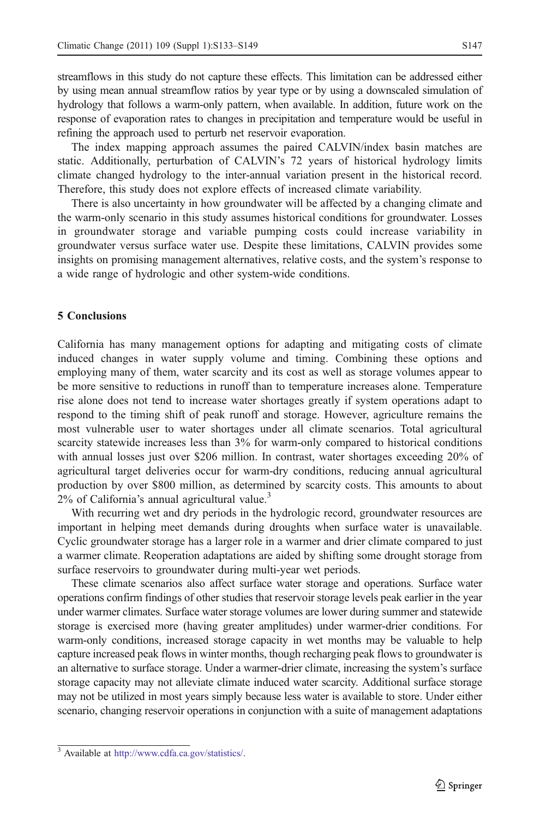streamflows in this study do not capture these effects. This limitation can be addressed either by using mean annual streamflow ratios by year type or by using a downscaled simulation of hydrology that follows a warm-only pattern, when available. In addition, future work on the response of evaporation rates to changes in precipitation and temperature would be useful in refining the approach used to perturb net reservoir evaporation.

The index mapping approach assumes the paired CALVIN/index basin matches are static. Additionally, perturbation of CALVIN's 72 years of historical hydrology limits climate changed hydrology to the inter-annual variation present in the historical record. Therefore, this study does not explore effects of increased climate variability.

There is also uncertainty in how groundwater will be affected by a changing climate and the warm-only scenario in this study assumes historical conditions for groundwater. Losses in groundwater storage and variable pumping costs could increase variability in groundwater versus surface water use. Despite these limitations, CALVIN provides some insights on promising management alternatives, relative costs, and the system's response to a wide range of hydrologic and other system-wide conditions.

# 5 Conclusions

California has many management options for adapting and mitigating costs of climate induced changes in water supply volume and timing. Combining these options and employing many of them, water scarcity and its cost as well as storage volumes appear to be more sensitive to reductions in runoff than to temperature increases alone. Temperature rise alone does not tend to increase water shortages greatly if system operations adapt to respond to the timing shift of peak runoff and storage. However, agriculture remains the most vulnerable user to water shortages under all climate scenarios. Total agricultural scarcity statewide increases less than 3% for warm-only compared to historical conditions with annual losses just over \$206 million. In contrast, water shortages exceeding 20% of agricultural target deliveries occur for warm-dry conditions, reducing annual agricultural production by over \$800 million, as determined by scarcity costs. This amounts to about  $2\%$  of California's annual agricultural value.<sup>3</sup>

With recurring wet and dry periods in the hydrologic record, groundwater resources are important in helping meet demands during droughts when surface water is unavailable. Cyclic groundwater storage has a larger role in a warmer and drier climate compared to just a warmer climate. Reoperation adaptations are aided by shifting some drought storage from surface reservoirs to groundwater during multi-year wet periods.

These climate scenarios also affect surface water storage and operations. Surface water operations confirm findings of other studies that reservoir storage levels peak earlier in the year under warmer climates. Surface water storage volumes are lower during summer and statewide storage is exercised more (having greater amplitudes) under warmer-drier conditions. For warm-only conditions, increased storage capacity in wet months may be valuable to help capture increased peak flows in winter months, though recharging peak flows to groundwater is an alternative to surface storage. Under a warmer-drier climate, increasing the system's surface storage capacity may not alleviate climate induced water scarcity. Additional surface storage may not be utilized in most years simply because less water is available to store. Under either scenario, changing reservoir operations in conjunction with a suite of management adaptations

<sup>3</sup> Available at [http://www.cdfa.ca.gov/statistics/.](http://www.cdfa.ca.gov/statistics/)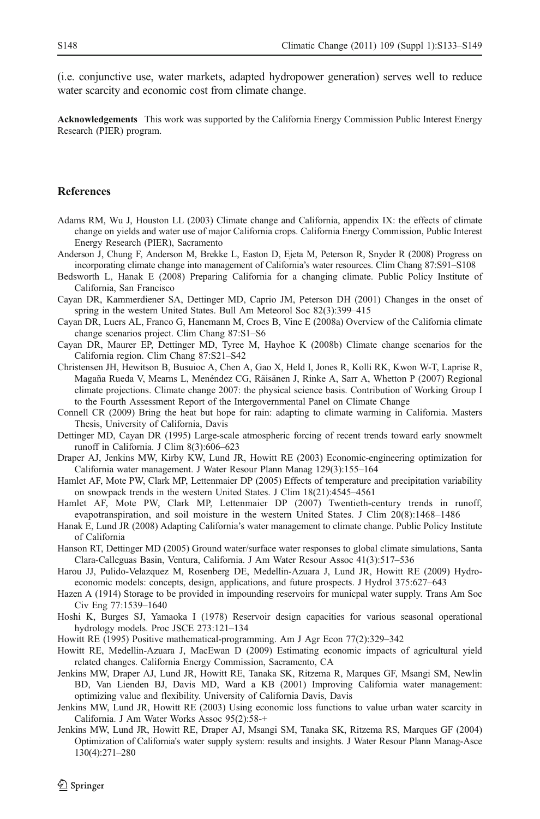<span id="page-15-0"></span>(i.e. conjunctive use, water markets, adapted hydropower generation) serves well to reduce water scarcity and economic cost from climate change.

Acknowledgements This work was supported by the California Energy Commission Public Interest Energy Research (PIER) program.

## **References**

- Adams RM, Wu J, Houston LL (2003) Climate change and California, appendix IX: the effects of climate change on yields and water use of major California crops. California Energy Commission, Public Interest Energy Research (PIER), Sacramento
- Anderson J, Chung F, Anderson M, Brekke L, Easton D, Ejeta M, Peterson R, Snyder R (2008) Progress on incorporating climate change into management of California's water resources. Clim Chang 87:S91–S108
- Bedsworth L, Hanak E (2008) Preparing California for a changing climate. Public Policy Institute of California, San Francisco
- Cayan DR, Kammerdiener SA, Dettinger MD, Caprio JM, Peterson DH (2001) Changes in the onset of spring in the western United States. Bull Am Meteorol Soc 82(3):399–415
- Cayan DR, Luers AL, Franco G, Hanemann M, Croes B, Vine E (2008a) Overview of the California climate change scenarios project. Clim Chang 87:S1–S6
- Cayan DR, Maurer EP, Dettinger MD, Tyree M, Hayhoe K (2008b) Climate change scenarios for the California region. Clim Chang 87:S21–S42
- Christensen JH, Hewitson B, Busuioc A, Chen A, Gao X, Held I, Jones R, Kolli RK, Kwon W-T, Laprise R, Magaña Rueda V, Mearns L, Menéndez CG, Räisänen J, Rinke A, Sarr A, Whetton P (2007) Regional climate projections. Climate change 2007: the physical science basis. Contribution of Working Group I to the Fourth Assessment Report of the Intergovernmental Panel on Climate Change
- Connell CR (2009) Bring the heat but hope for rain: adapting to climate warming in California. Masters Thesis, University of California, Davis
- Dettinger MD, Cayan DR (1995) Large-scale atmospheric forcing of recent trends toward early snowmelt runoff in California. J Clim 8(3):606–623
- Draper AJ, Jenkins MW, Kirby KW, Lund JR, Howitt RE (2003) Economic-engineering optimization for California water management. J Water Resour Plann Manag 129(3):155–164
- Hamlet AF, Mote PW, Clark MP, Lettenmaier DP (2005) Effects of temperature and precipitation variability on snowpack trends in the western United States. J Clim 18(21):4545–4561
- Hamlet AF, Mote PW, Clark MP, Lettenmaier DP (2007) Twentieth-century trends in runoff, evapotranspiration, and soil moisture in the western United States. J Clim 20(8):1468–1486
- Hanak E, Lund JR (2008) Adapting California's water management to climate change. Public Policy Institute of California
- Hanson RT, Dettinger MD (2005) Ground water/surface water responses to global climate simulations, Santa Clara-Calleguas Basin, Ventura, California. J Am Water Resour Assoc 41(3):517–536
- Harou JJ, Pulido-Velazquez M, Rosenberg DE, Medellin-Azuara J, Lund JR, Howitt RE (2009) Hydroeconomic models: concepts, design, applications, and future prospects. J Hydrol 375:627–643
- Hazen A (1914) Storage to be provided in impounding reservoirs for municpal water supply. Trans Am Soc Civ Eng 77:1539–1640
- Hoshi K, Burges SJ, Yamaoka I (1978) Reservoir design capacities for various seasonal operational hydrology models. Proc JSCE 273:121–134
- Howitt RE (1995) Positive mathematical-programming. Am J Agr Econ 77(2):329–342
- Howitt RE, Medellin-Azuara J, MacEwan D (2009) Estimating economic impacts of agricultural yield related changes. California Energy Commission, Sacramento, CA
- Jenkins MW, Draper AJ, Lund JR, Howitt RE, Tanaka SK, Ritzema R, Marques GF, Msangi SM, Newlin BD, Van Lienden BJ, Davis MD, Ward a KB (2001) Improving California water management: optimizing value and flexibility. University of California Davis, Davis
- Jenkins MW, Lund JR, Howitt RE (2003) Using economic loss functions to value urban water scarcity in California. J Am Water Works Assoc 95(2):58-+
- Jenkins MW, Lund JR, Howitt RE, Draper AJ, Msangi SM, Tanaka SK, Ritzema RS, Marques GF (2004) Optimization of California's water supply system: results and insights. J Water Resour Plann Manag-Asce 130(4):271–280